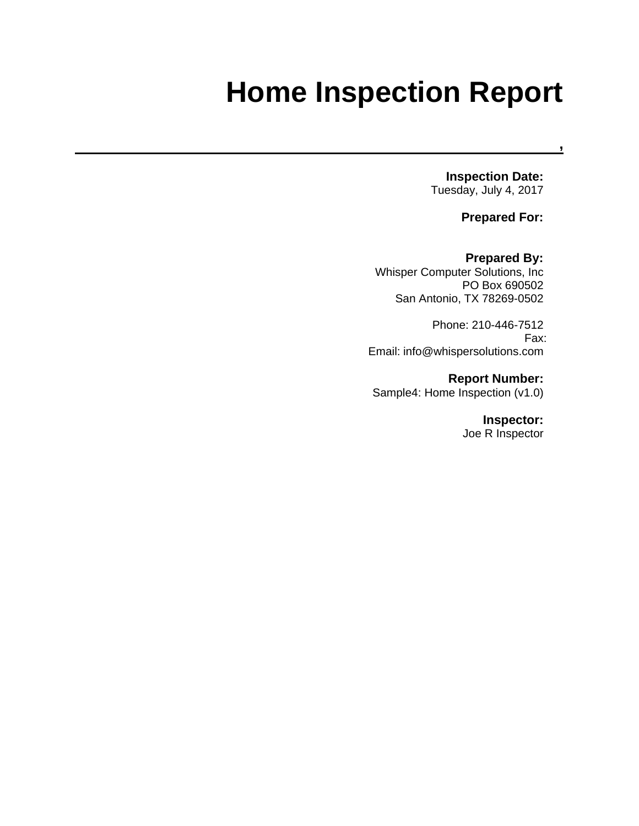## **,Home Inspection Report**

**Inspection Date:**

Tuesday, July 4, 2017

**Prepared For:**

**,** 

#### **Prepared By:**

Whisper Computer Solutions, Inc PO Box 690502 San Antonio, TX 78269-0502

Phone: 210-446-7512 Fax: Email: info@whispersolutions.com

**Report Number:** Sample4: Home Inspection (v1.0)

**Inspector:**

Joe R Inspector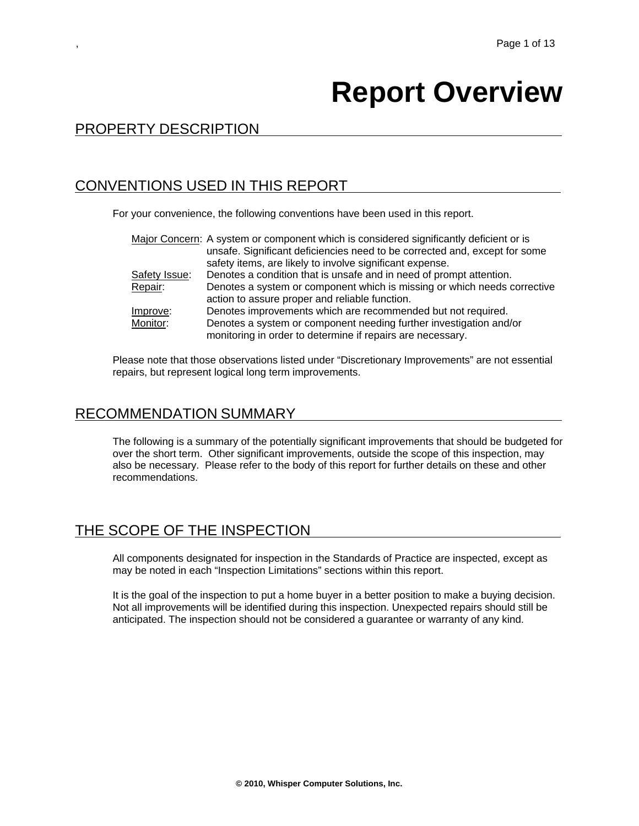## **Report Overview**

## PROPERTY DESCRIPTION

## CONVENTIONS USED IN THIS REPORT

For your convenience, the following conventions have been used in this report.

|               | Major Concern: A system or component which is considered significantly deficient or is |
|---------------|----------------------------------------------------------------------------------------|
|               | unsafe. Significant deficiencies need to be corrected and, except for some             |
|               | safety items, are likely to involve significant expense.                               |
| Safety Issue: | Denotes a condition that is unsafe and in need of prompt attention.                    |
| Repair:       | Denotes a system or component which is missing or which needs corrective               |
|               | action to assure proper and reliable function.                                         |
| Improve:      | Denotes improvements which are recommended but not required.                           |
| Monitor:      | Denotes a system or component needing further investigation and/or                     |
|               | monitoring in order to determine if repairs are necessary.                             |

Please note that those observations listed under "Discretionary Improvements" are not essential repairs, but represent logical long term improvements.

#### RECOMMENDATION SUMMARY

The following is a summary of the potentially significant improvements that should be budgeted for over the short term. Other significant improvements, outside the scope of this inspection, may also be necessary. Please refer to the body of this report for further details on these and other recommendations.

## THE SCOPE OF THE INSPECTION

All components designated for inspection in the Standards of Practice are inspected, except as may be noted in each "Inspection Limitations" sections within this report.

It is the goal of the inspection to put a home buyer in a better position to make a buying decision. Not all improvements will be identified during this inspection. Unexpected repairs should still be anticipated. The inspection should not be considered a guarantee or warranty of any kind.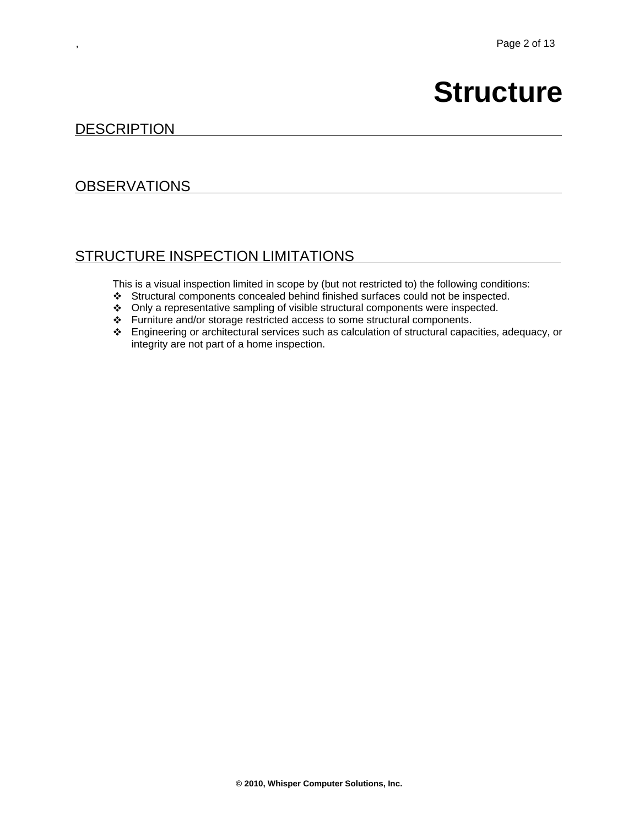## **Structure**

### **DESCRIPTION**

### **OBSERVATIONS**

## STRUCTURE INSPECTION LIMITATIONS

- Structural components concealed behind finished surfaces could not be inspected.
- Only a representative sampling of visible structural components were inspected.
- Furniture and/or storage restricted access to some structural components.
- Engineering or architectural services such as calculation of structural capacities, adequacy, or integrity are not part of a home inspection.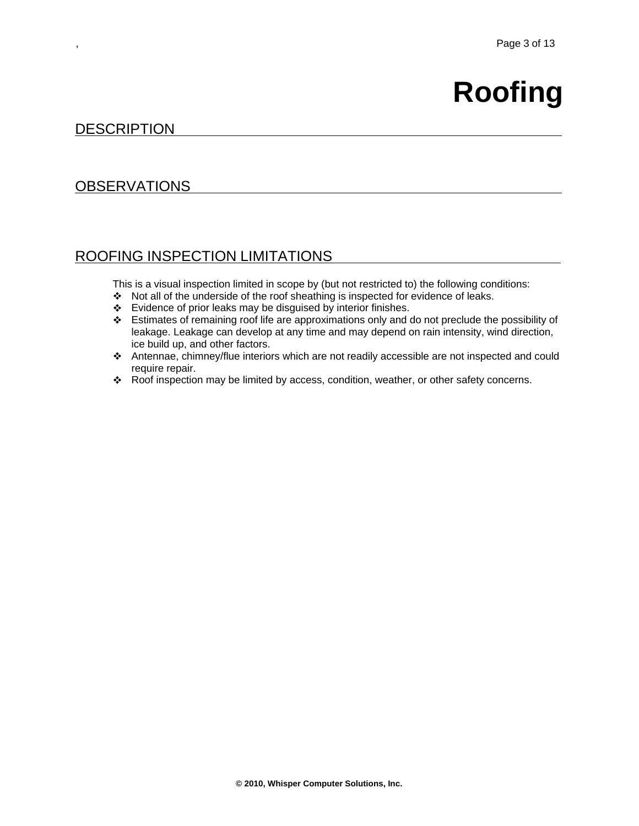# **Roofing**

#### **DESCRIPTION**

### **OBSERVATIONS**

## ROOFING INSPECTION LIMITATIONS

- Not all of the underside of the roof sheathing is inspected for evidence of leaks.
- Evidence of prior leaks may be disguised by interior finishes.
- $\div$  Estimates of remaining roof life are approximations only and do not preclude the possibility of leakage. Leakage can develop at any time and may depend on rain intensity, wind direction, ice build up, and other factors.
- Antennae, chimney/flue interiors which are not readily accessible are not inspected and could require repair.
- \* Roof inspection may be limited by access, condition, weather, or other safety concerns.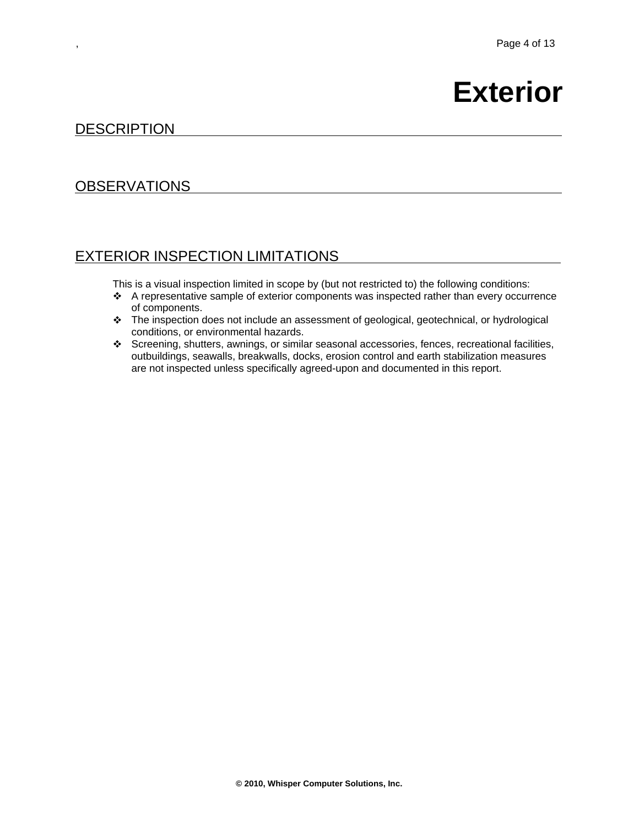## **Exterior**

## **DESCRIPTION**

## **OBSERVATIONS**

## EXTERIOR INSPECTION LIMITATIONS

- A representative sample of exterior components was inspected rather than every occurrence of components.
- The inspection does not include an assessment of geological, geotechnical, or hydrological conditions, or environmental hazards.
- Screening, shutters, awnings, or similar seasonal accessories, fences, recreational facilities, outbuildings, seawalls, breakwalls, docks, erosion control and earth stabilization measures are not inspected unless specifically agreed-upon and documented in this report.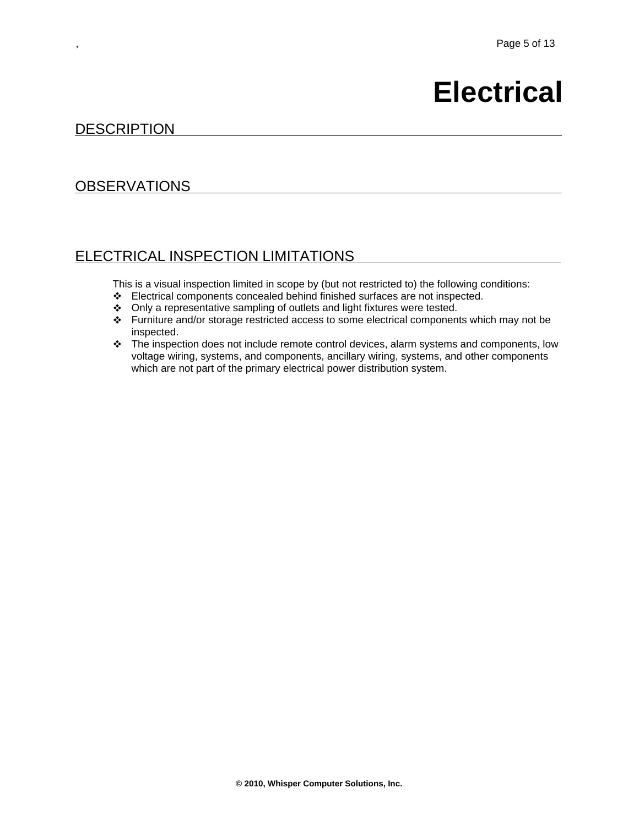## **Electrical**

## **DESCRIPTION**

## **OBSERVATIONS**

## ELECTRICAL INSPECTION LIMITATIONS

- Electrical components concealed behind finished surfaces are not inspected.
- Only a representative sampling of outlets and light fixtures were tested.
- Furniture and/or storage restricted access to some electrical components which may not be inspected.
- \* The inspection does not include remote control devices, alarm systems and components, low voltage wiring, systems, and components, ancillary wiring, systems, and other components which are not part of the primary electrical power distribution system.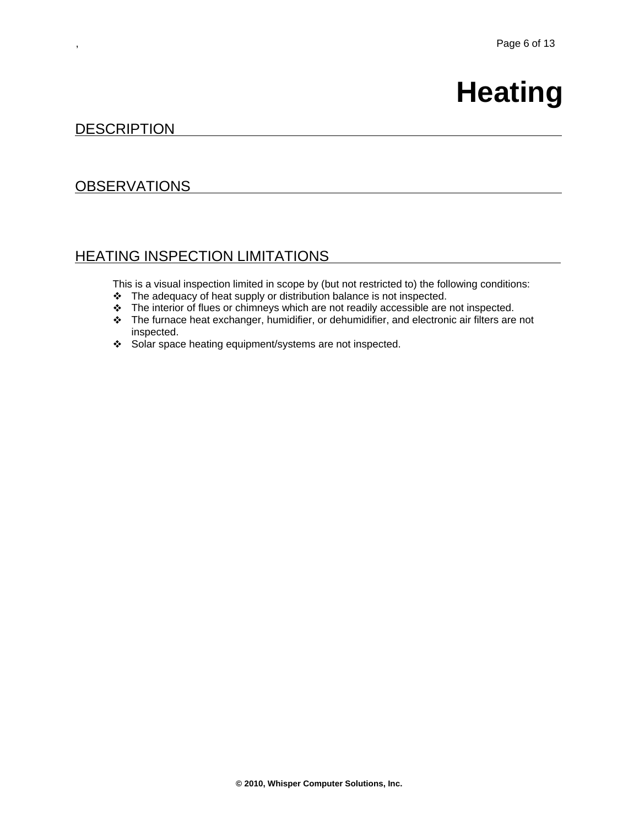# **Heating**

### **DESCRIPTION**

#### **OBSERVATIONS**

## HEATING INSPECTION LIMITATIONS

- \* The adequacy of heat supply or distribution balance is not inspected.
- The interior of flues or chimneys which are not readily accessible are not inspected.
- \* The furnace heat exchanger, humidifier, or dehumidifier, and electronic air filters are not inspected.
- Solar space heating equipment/systems are not inspected.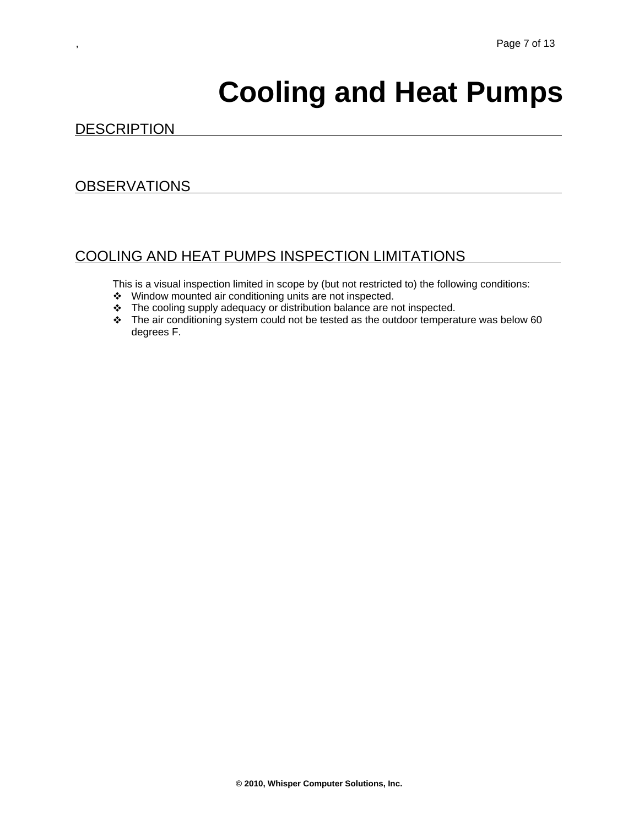# **Cooling and Heat Pumps**

#### **DESCRIPTION**

#### **OBSERVATIONS**

## COOLING AND HEAT PUMPS INSPECTION LIMITATIONS

- Window mounted air conditioning units are not inspected.
- \* The cooling supply adequacy or distribution balance are not inspected.
- $\div$  The air conditioning system could not be tested as the outdoor temperature was below 60 degrees F.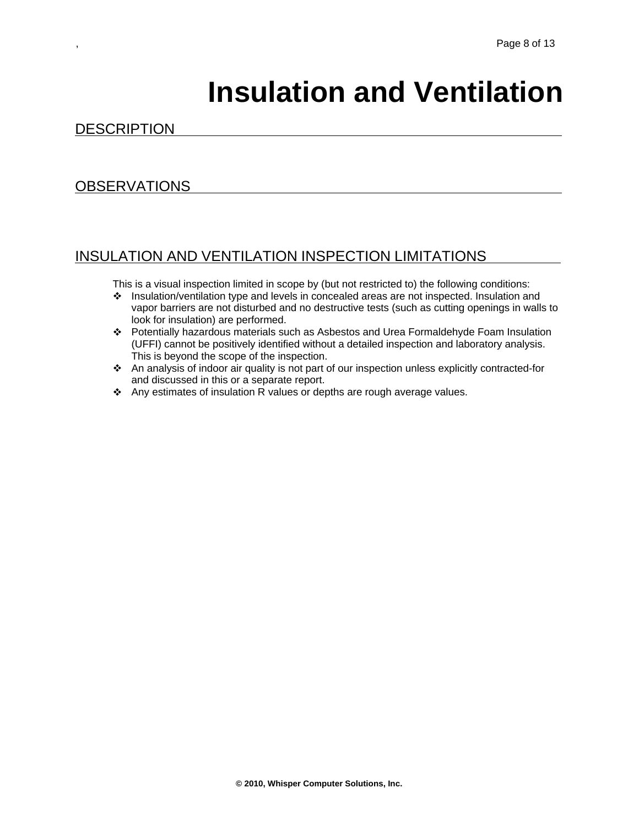## **Insulation and Ventilation**

## **DESCRIPTION**

## OBSERVATIONS

## INSULATION AND VENTILATION INSPECTION LIMITATIONS

- Insulation/ventilation type and levels in concealed areas are not inspected. Insulation and vapor barriers are not disturbed and no destructive tests (such as cutting openings in walls to look for insulation) are performed.
- Potentially hazardous materials such as Asbestos and Urea Formaldehyde Foam Insulation (UFFI) cannot be positively identified without a detailed inspection and laboratory analysis. This is beyond the scope of the inspection.
- An analysis of indoor air quality is not part of our inspection unless explicitly contracted-for and discussed in this or a separate report.
- \* Any estimates of insulation R values or depths are rough average values.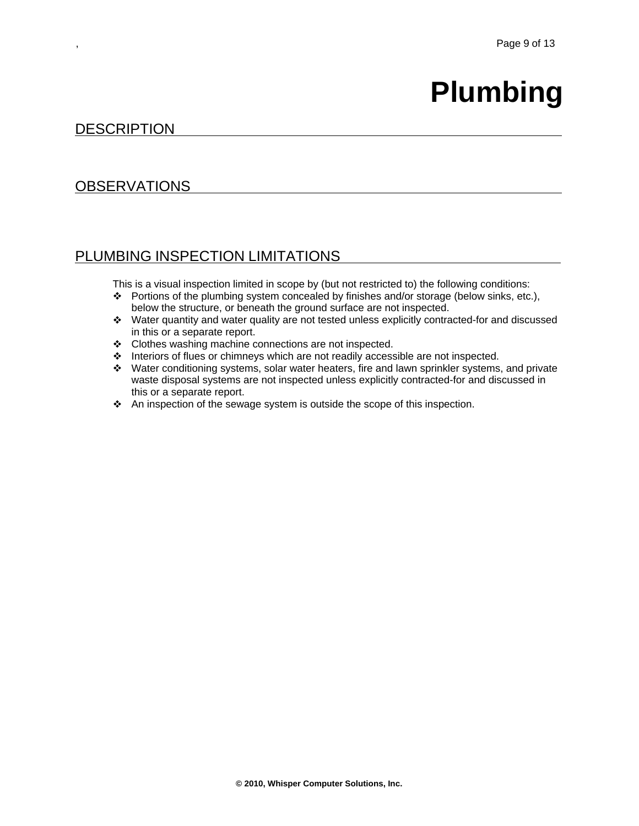# **Plumbing**

### **DESCRIPTION**

## **OBSERVATIONS**

## PLUMBING INSPECTION LIMITATIONS

- Portions of the plumbing system concealed by finishes and/or storage (below sinks, etc.), below the structure, or beneath the ground surface are not inspected.
- Water quantity and water quality are not tested unless explicitly contracted-for and discussed in this or a separate report.
- ❖ Clothes washing machine connections are not inspected.
- Interiors of flues or chimneys which are not readily accessible are not inspected.
- Water conditioning systems, solar water heaters, fire and lawn sprinkler systems, and private waste disposal systems are not inspected unless explicitly contracted-for and discussed in this or a separate report.
- \* An inspection of the sewage system is outside the scope of this inspection.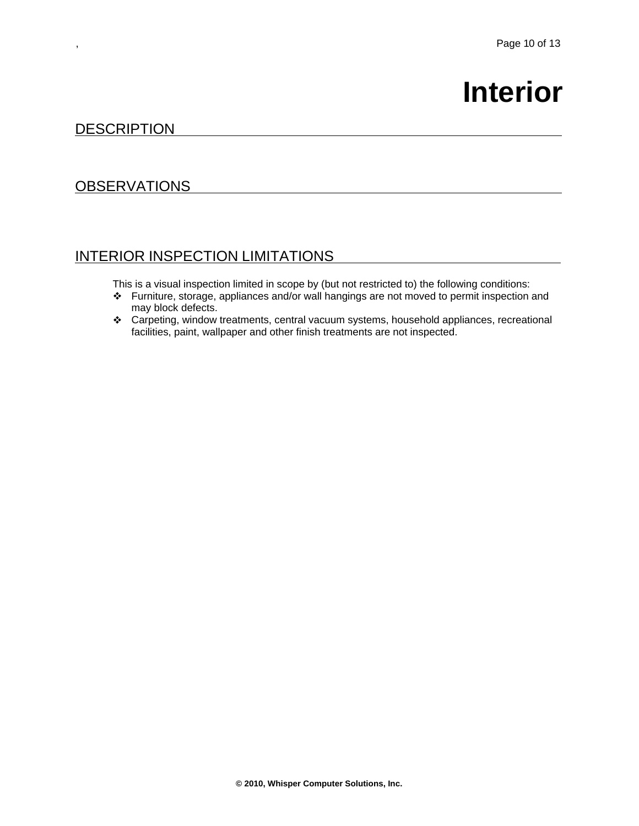## **Interior**

#### **DESCRIPTION**

#### **OBSERVATIONS**

## INTERIOR INSPECTION LIMITATIONS

- Furniture, storage, appliances and/or wall hangings are not moved to permit inspection and may block defects.
- Carpeting, window treatments, central vacuum systems, household appliances, recreational facilities, paint, wallpaper and other finish treatments are not inspected.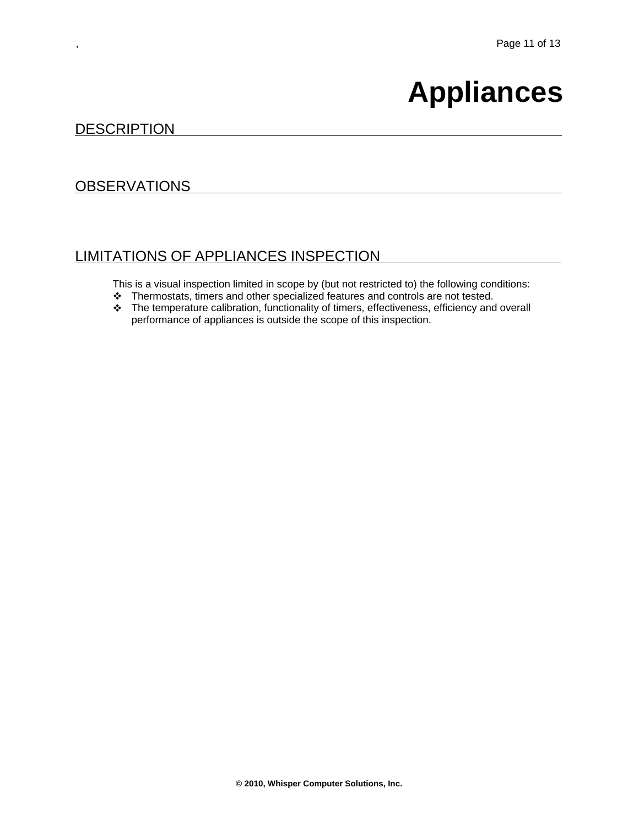## **Appliances**

### **DESCRIPTION**

#### **OBSERVATIONS**

## LIMITATIONS OF APPLIANCES INSPECTION

- Thermostats, timers and other specialized features and controls are not tested.
- The temperature calibration, functionality of timers, effectiveness, efficiency and overall performance of appliances is outside the scope of this inspection.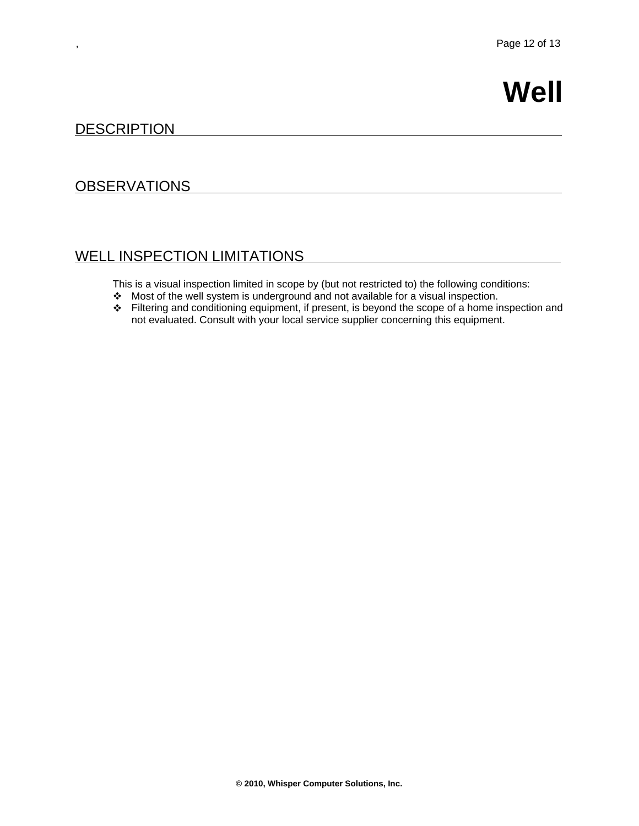## **Well**

## **DESCRIPTION**

### **OBSERVATIONS**

## WELL INSPECTION LIMITATIONS

- Most of the well system is underground and not available for a visual inspection.
- Filtering and conditioning equipment, if present, is beyond the scope of a home inspection and not evaluated. Consult with your local service supplier concerning this equipment.